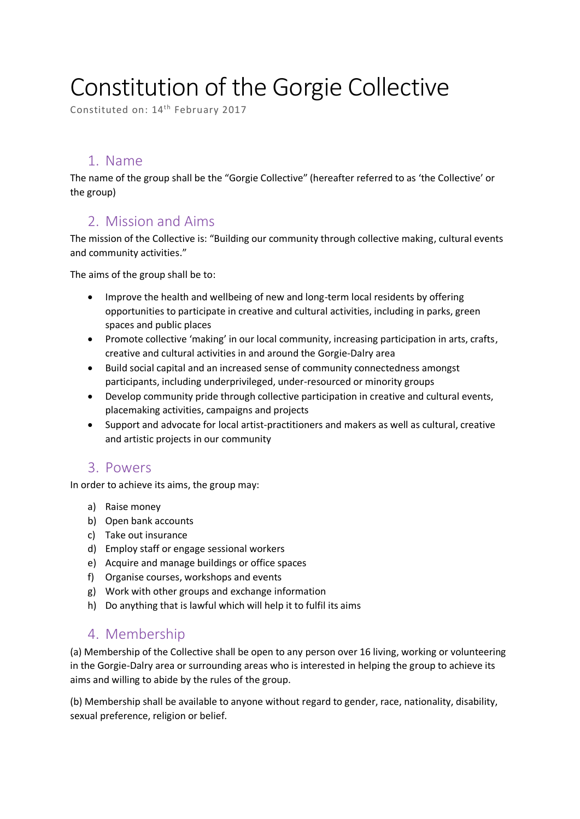# Constitution of the Gorgie Collective

Constituted on: 14<sup>th</sup> February 2017

### 1. Name

The name of the group shall be the "Gorgie Collective" (hereafter referred to as 'the Collective' or the group)

### 2. Mission and Aims

The mission of the Collective is: "Building our community through collective making, cultural events and community activities."

The aims of the group shall be to:

- Improve the health and wellbeing of new and long-term local residents by offering opportunities to participate in creative and cultural activities, including in parks, green spaces and public places
- Promote collective 'making' in our local community, increasing participation in arts, crafts, creative and cultural activities in and around the Gorgie-Dalry area
- Build social capital and an increased sense of community connectedness amongst participants, including underprivileged, under-resourced or minority groups
- Develop community pride through collective participation in creative and cultural events, placemaking activities, campaigns and projects
- Support and advocate for local artist-practitioners and makers as well as cultural, creative and artistic projects in our community

### 3. Powers

In order to achieve its aims, the group may:

- a) Raise money
- b) Open bank accounts
- c) Take out insurance
- d) Employ staff or engage sessional workers
- e) Acquire and manage buildings or office spaces
- f) Organise courses, workshops and events
- g) Work with other groups and exchange information
- h) Do anything that is lawful which will help it to fulfil its aims

### 4. Membership

(a) Membership of the Collective shall be open to any person over 16 living, working or volunteering in the Gorgie-Dalry area or surrounding areas who is interested in helping the group to achieve its aims and willing to abide by the rules of the group.

(b) Membership shall be available to anyone without regard to gender, race, nationality, disability, sexual preference, religion or belief.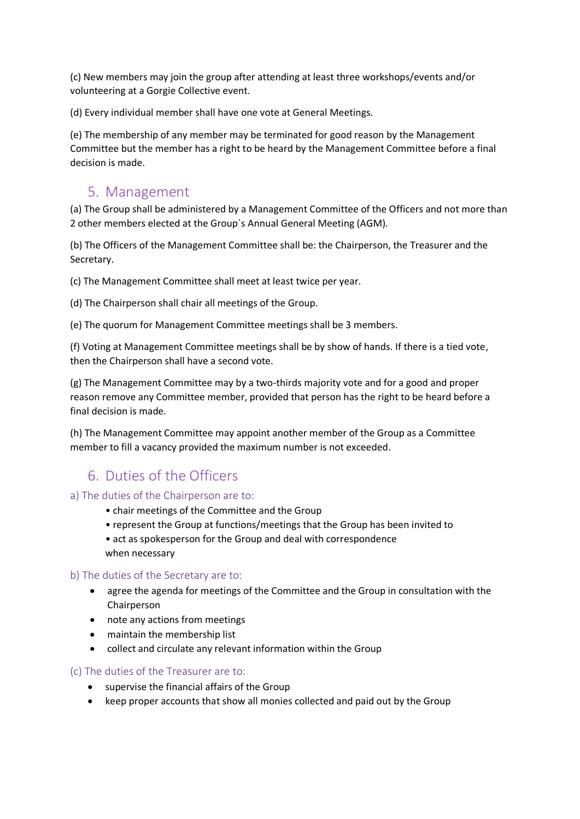(c) New members may join the group after attending at least three workshops/events and/or volunteering at a Gorgie Collective event.

(d) Every individual member shall have one vote at General Meetings.

(e) The membership of any member may be terminated for good reason by the Management Committee but the member has a right to be heard by the Management Committee before a final decision is made.

### 5. Management

(a) The Group shall be administered by a Management Committee of the Officers and not more than 2 other members elected at the Group`s Annual General Meeting (AGM).

(b) The Officers of the Management Committee shall be: the Chairperson, the Treasurer and the Secretary.

(c) The Management Committee shall meet at least twice per year.

(d) The Chairperson shall chair all meetings of the Group.

(e) The quorum for Management Committee meetings shall be 3 members.

(f) Voting at Management Committee meetings shall be by show of hands. If there is a tied vote, then the Chairperson shall have a second vote.

(g) The Management Committee may by a two-thirds majority vote and for a good and proper reason remove any Committee member, provided that person has the right to be heard before a final decision is made.

(h) The Management Committee may appoint another member of the Group as a Committee member to fill a vacancy provided the maximum number is not exceeded.

### 6. Duties of the Officers

#### a) The duties of the Chairperson are to:

- chair meetings of the Committee and the Group
- represent the Group at functions/meetings that the Group has been invited to

• act as spokesperson for the Group and deal with correspondence when necessary

#### b) The duties of the Secretary are to:

- agree the agenda for meetings of the Committee and the Group in consultation with the Chairperson
- note any actions from meetings
- maintain the membership list
- collect and circulate any relevant information within the Group

#### (c) The duties of the Treasurer are to:

- supervise the financial affairs of the Group
- keep proper accounts that show all monies collected and paid out by the Group